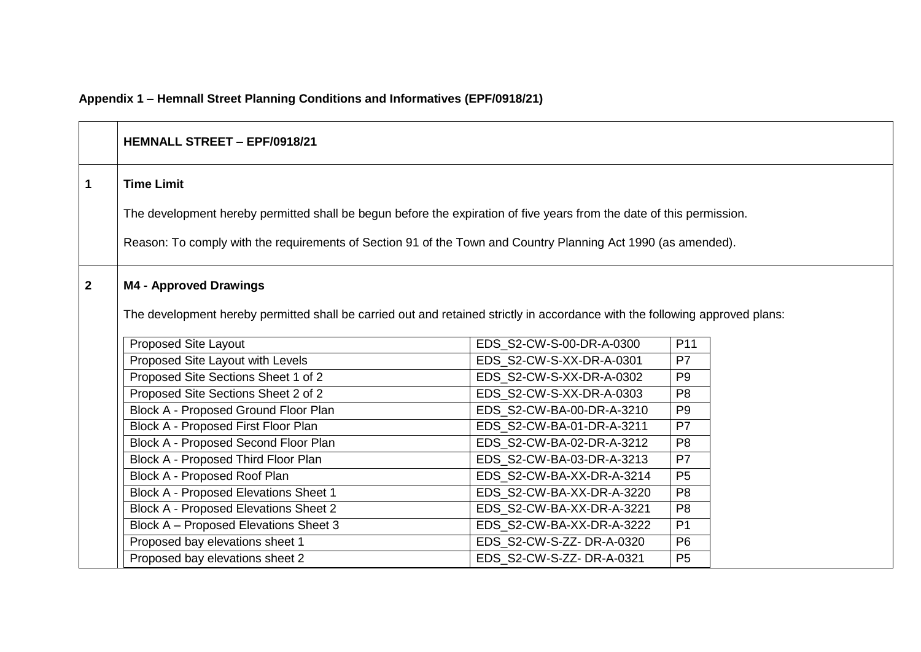# **Appendix 1 – Hemnall Street Planning Conditions and Informatives (EPF/0918/21)**

|                | <b>HEMNALL STREET - EPF/0918/21</b>                                                                                          |                           |                |  |
|----------------|------------------------------------------------------------------------------------------------------------------------------|---------------------------|----------------|--|
| 1              | <b>Time Limit</b>                                                                                                            |                           |                |  |
|                | The development hereby permitted shall be begun before the expiration of five years from the date of this permission.        |                           |                |  |
|                | Reason: To comply with the requirements of Section 91 of the Town and Country Planning Act 1990 (as amended).                |                           |                |  |
| $\overline{2}$ | <b>M4 - Approved Drawings</b>                                                                                                |                           |                |  |
|                | The development hereby permitted shall be carried out and retained strictly in accordance with the following approved plans: |                           |                |  |
|                | <b>Proposed Site Layout</b>                                                                                                  | EDS_S2-CW-S-00-DR-A-0300  | P11            |  |
|                | Proposed Site Layout with Levels                                                                                             | EDS S2-CW-S-XX-DR-A-0301  | P7             |  |
|                | Proposed Site Sections Sheet 1 of 2                                                                                          | EDS_S2-CW-S-XX-DR-A-0302  | P <sub>9</sub> |  |
|                | Proposed Site Sections Sheet 2 of 2                                                                                          | EDS_S2-CW-S-XX-DR-A-0303  | P <sub>8</sub> |  |
|                | Block A - Proposed Ground Floor Plan                                                                                         | EDS S2-CW-BA-00-DR-A-3210 | P <sub>9</sub> |  |
|                | Block A - Proposed First Floor Plan                                                                                          | EDS S2-CW-BA-01-DR-A-3211 | P7             |  |
|                | Block A - Proposed Second Floor Plan                                                                                         | EDS_S2-CW-BA-02-DR-A-3212 | P <sub>8</sub> |  |
|                | Block A - Proposed Third Floor Plan                                                                                          | EDS_S2-CW-BA-03-DR-A-3213 | P7             |  |
|                | Block A - Proposed Roof Plan                                                                                                 | EDS S2-CW-BA-XX-DR-A-3214 | P <sub>5</sub> |  |
|                | Block A - Proposed Elevations Sheet 1                                                                                        | EDS_S2-CW-BA-XX-DR-A-3220 | P <sub>8</sub> |  |
|                | <b>Block A - Proposed Elevations Sheet 2</b>                                                                                 | EDS_S2-CW-BA-XX-DR-A-3221 | P <sub>8</sub> |  |
|                | Block A - Proposed Elevations Sheet 3                                                                                        | EDS_S2-CW-BA-XX-DR-A-3222 | P <sub>1</sub> |  |
|                | Proposed bay elevations sheet 1                                                                                              | EDS_S2-CW-S-ZZ-DR-A-0320  | P <sub>6</sub> |  |
|                | Proposed bay elevations sheet 2                                                                                              | EDS_S2-CW-S-ZZ-DR-A-0321  | P <sub>5</sub> |  |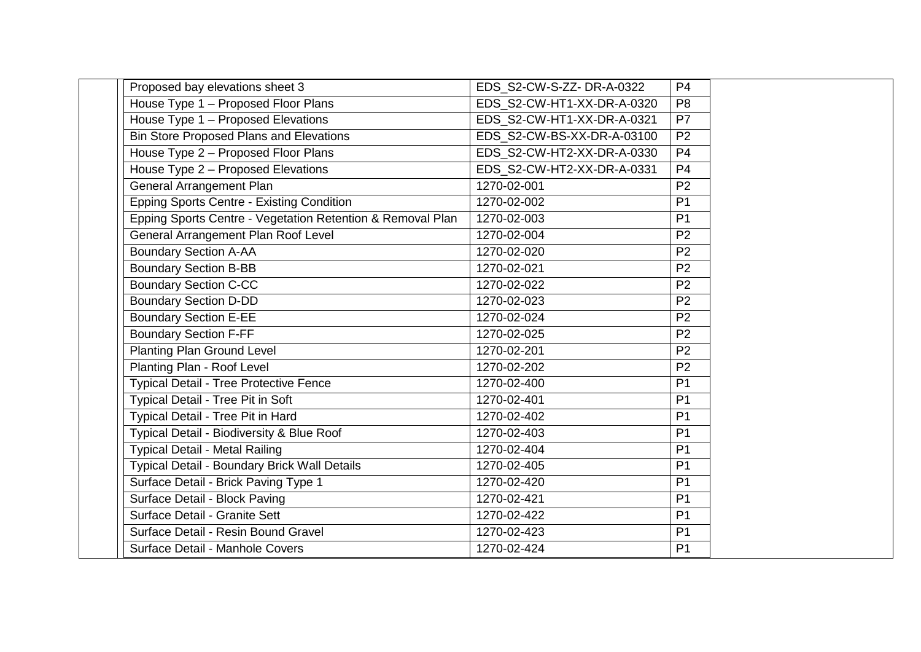| Proposed bay elevations sheet 3                            | EDS S2-CW-S-ZZ-DR-A-0322   | P <sub>4</sub> |
|------------------------------------------------------------|----------------------------|----------------|
| House Type 1 - Proposed Floor Plans                        | EDS S2-CW-HT1-XX-DR-A-0320 | P <sub>8</sub> |
| House Type 1 - Proposed Elevations                         | EDS S2-CW-HT1-XX-DR-A-0321 | P7             |
| <b>Bin Store Proposed Plans and Elevations</b>             | EDS S2-CW-BS-XX-DR-A-03100 | P <sub>2</sub> |
| House Type 2 - Proposed Floor Plans                        | EDS S2-CW-HT2-XX-DR-A-0330 | P <sub>4</sub> |
| House Type 2 - Proposed Elevations                         | EDS_S2-CW-HT2-XX-DR-A-0331 | P <sub>4</sub> |
| <b>General Arrangement Plan</b>                            | 1270-02-001                | P <sub>2</sub> |
| <b>Epping Sports Centre - Existing Condition</b>           | 1270-02-002                | P <sub>1</sub> |
| Epping Sports Centre - Vegetation Retention & Removal Plan | 1270-02-003                | P <sub>1</sub> |
| <b>General Arrangement Plan Roof Level</b>                 | 1270-02-004                | P <sub>2</sub> |
| <b>Boundary Section A-AA</b>                               | 1270-02-020                | P <sub>2</sub> |
| <b>Boundary Section B-BB</b>                               | 1270-02-021                | P2             |
| <b>Boundary Section C-CC</b>                               | 1270-02-022                | P <sub>2</sub> |
| <b>Boundary Section D-DD</b>                               | 1270-02-023                | P <sub>2</sub> |
| <b>Boundary Section E-EE</b>                               | 1270-02-024                | P <sub>2</sub> |
| <b>Boundary Section F-FF</b>                               | 1270-02-025                | P <sub>2</sub> |
| <b>Planting Plan Ground Level</b>                          | 1270-02-201                | P <sub>2</sub> |
| Planting Plan - Roof Level                                 | 1270-02-202                | P <sub>2</sub> |
| <b>Typical Detail - Tree Protective Fence</b>              | 1270-02-400                | P <sub>1</sub> |
| Typical Detail - Tree Pit in Soft                          | 1270-02-401                | P <sub>1</sub> |
| Typical Detail - Tree Pit in Hard                          | 1270-02-402                | P <sub>1</sub> |
| Typical Detail - Biodiversity & Blue Roof                  | 1270-02-403                | P <sub>1</sub> |
| <b>Typical Detail - Metal Railing</b>                      | 1270-02-404                | P <sub>1</sub> |
| Typical Detail - Boundary Brick Wall Details               | 1270-02-405                | P <sub>1</sub> |
| Surface Detail - Brick Paving Type 1                       | 1270-02-420                | P <sub>1</sub> |
| Surface Detail - Block Paving                              | 1270-02-421                | P <sub>1</sub> |
| Surface Detail - Granite Sett                              | 1270-02-422                | P <sub>1</sub> |
| Surface Detail - Resin Bound Gravel                        | 1270-02-423                | P <sub>1</sub> |
| Surface Detail - Manhole Covers                            | 1270-02-424                | P <sub>1</sub> |
|                                                            |                            |                |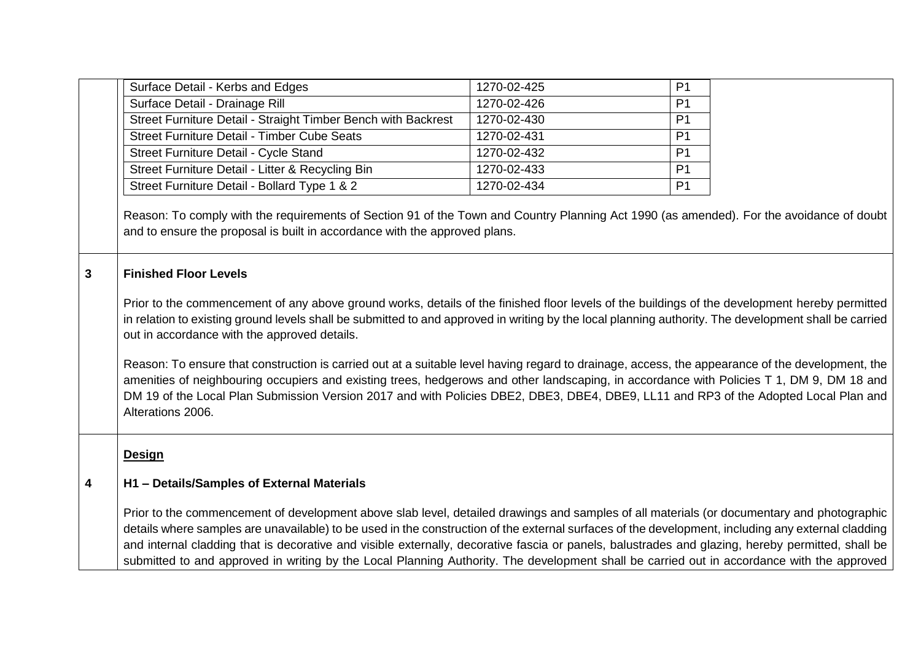|   | Surface Detail - Kerbs and Edges                                                                                                                                                                                                                                                                                                                                                                                                                                                                                                                                                                                                                                                                                                                                                                                                                                                                                                    | 1270-02-425 | P <sub>1</sub> |  |
|---|-------------------------------------------------------------------------------------------------------------------------------------------------------------------------------------------------------------------------------------------------------------------------------------------------------------------------------------------------------------------------------------------------------------------------------------------------------------------------------------------------------------------------------------------------------------------------------------------------------------------------------------------------------------------------------------------------------------------------------------------------------------------------------------------------------------------------------------------------------------------------------------------------------------------------------------|-------------|----------------|--|
|   | Surface Detail - Drainage Rill                                                                                                                                                                                                                                                                                                                                                                                                                                                                                                                                                                                                                                                                                                                                                                                                                                                                                                      | 1270-02-426 | P <sub>1</sub> |  |
|   | Street Furniture Detail - Straight Timber Bench with Backrest                                                                                                                                                                                                                                                                                                                                                                                                                                                                                                                                                                                                                                                                                                                                                                                                                                                                       | 1270-02-430 | P <sub>1</sub> |  |
|   | <b>Street Furniture Detail - Timber Cube Seats</b>                                                                                                                                                                                                                                                                                                                                                                                                                                                                                                                                                                                                                                                                                                                                                                                                                                                                                  | 1270-02-431 | P <sub>1</sub> |  |
|   | Street Furniture Detail - Cycle Stand                                                                                                                                                                                                                                                                                                                                                                                                                                                                                                                                                                                                                                                                                                                                                                                                                                                                                               | 1270-02-432 | P <sub>1</sub> |  |
|   | Street Furniture Detail - Litter & Recycling Bin                                                                                                                                                                                                                                                                                                                                                                                                                                                                                                                                                                                                                                                                                                                                                                                                                                                                                    | 1270-02-433 | P <sub>1</sub> |  |
|   | Street Furniture Detail - Bollard Type 1 & 2                                                                                                                                                                                                                                                                                                                                                                                                                                                                                                                                                                                                                                                                                                                                                                                                                                                                                        | 1270-02-434 | P <sub>1</sub> |  |
| 3 | and to ensure the proposal is built in accordance with the approved plans.<br><b>Finished Floor Levels</b><br>Prior to the commencement of any above ground works, details of the finished floor levels of the buildings of the development hereby permitted<br>in relation to existing ground levels shall be submitted to and approved in writing by the local planning authority. The development shall be carried<br>out in accordance with the approved details.<br>Reason: To ensure that construction is carried out at a suitable level having regard to drainage, access, the appearance of the development, the<br>amenities of neighbouring occupiers and existing trees, hedgerows and other landscaping, in accordance with Policies T 1, DM 9, DM 18 and<br>DM 19 of the Local Plan Submission Version 2017 and with Policies DBE2, DBE3, DBE4, DBE9, LL11 and RP3 of the Adopted Local Plan and<br>Alterations 2006. |             |                |  |
| 4 | <b>Design</b><br>H1 - Details/Samples of External Materials                                                                                                                                                                                                                                                                                                                                                                                                                                                                                                                                                                                                                                                                                                                                                                                                                                                                         |             |                |  |
|   | Prior to the commencement of development above slab level, detailed drawings and samples of all materials (or documentary and photographic<br>details where samples are unavailable) to be used in the construction of the external surfaces of the development, including any external cladding<br>and internal cladding that is decorative and visible externally, decorative fascia or panels, balustrades and glazing, hereby permitted, shall be<br>submitted to and approved in writing by the Local Planning Authority. The development shall be carried out in accordance with the approved                                                                                                                                                                                                                                                                                                                                 |             |                |  |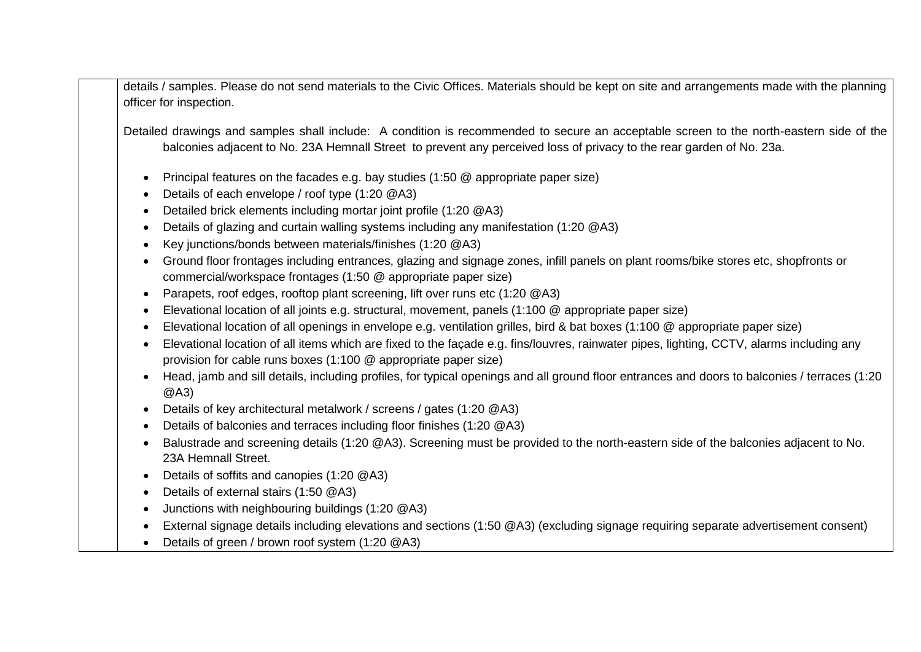details / samples. Please do not send materials to the Civic Offices. Materials should be kept on site and arrangements made with the planning officer for inspection.

Detailed drawings and samples shall include: A condition is recommended to secure an acceptable screen to the north-eastern side of the balconies adjacent to No. 23A Hemnall Street to prevent any perceived loss of privacy to the rear garden of No. 23a.

- Principal features on the facades e.g. bay studies (1:50 @ appropriate paper size)
- Details of each envelope / roof type (1:20 @A3)
- Detailed brick elements including mortar joint profile (1:20 @A3)
- Details of glazing and curtain walling systems including any manifestation (1:20 @A3)
- Key junctions/bonds between materials/finishes (1:20 @A3)
- Ground floor frontages including entrances, glazing and signage zones, infill panels on plant rooms/bike stores etc, shopfronts or commercial/workspace frontages (1:50 @ appropriate paper size)
- Parapets, roof edges, rooftop plant screening, lift over runs etc (1:20 @A3)
- Elevational location of all joints e.g. structural, movement, panels (1:100 @ appropriate paper size)
- Elevational location of all openings in envelope e.g. ventilation grilles, bird & bat boxes (1:100 @ appropriate paper size)
- Elevational location of all items which are fixed to the façade e.g. fins/louvres, rainwater pipes, lighting, CCTV, alarms including any provision for cable runs boxes (1:100 @ appropriate paper size)
- Head, jamb and sill details, including profiles, for typical openings and all ground floor entrances and doors to balconies / terraces (1:20 @A3)
- Details of key architectural metalwork / screens / gates (1:20 @A3)
- Details of balconies and terraces including floor finishes (1:20 @A3)
- Balustrade and screening details (1:20 @A3). Screening must be provided to the north-eastern side of the balconies adjacent to No. 23A Hemnall Street.
- Details of soffits and canopies (1:20 @A3)
- Details of external stairs (1:50 @A3)
- Junctions with neighbouring buildings (1:20 @A3)
- External signage details including elevations and sections (1:50 @A3) (excluding signage requiring separate advertisement consent)
- Details of green / brown roof system (1:20 @A3)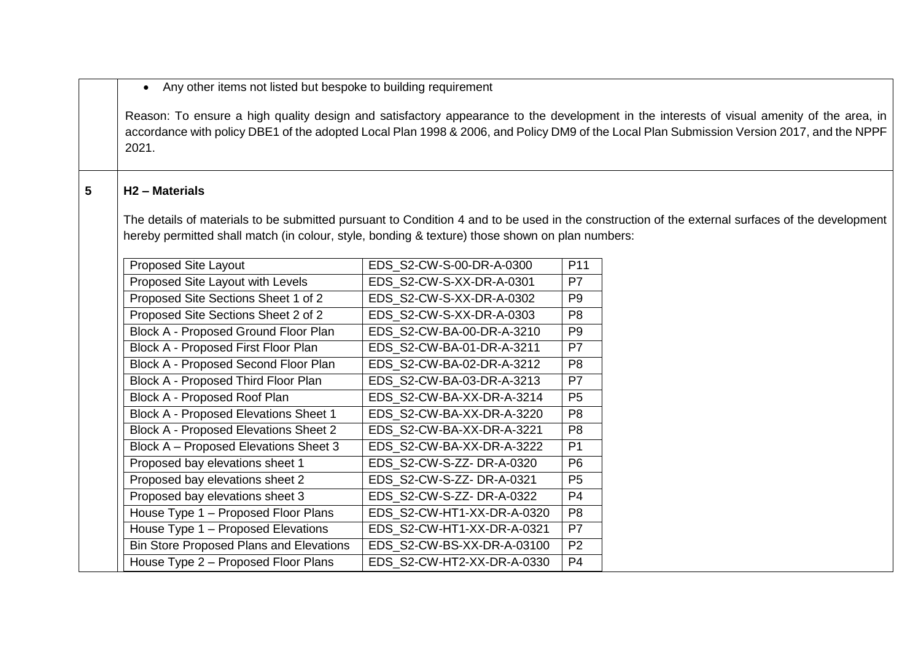Any other items not listed but bespoke to building requirement

Reason: To ensure a high quality design and satisfactory appearance to the development in the interests of visual amenity of the area, in accordance with policy DBE1 of the adopted Local Plan 1998 & 2006, and Policy DM9 of the Local Plan Submission Version 2017, and the NPPF 2021.

# **5 H2 – Materials**

The details of materials to be submitted pursuant to Condition 4 and to be used in the construction of the external surfaces of the development hereby permitted shall match (in colour, style, bonding & texture) those shown on plan numbers:

| <b>Proposed Site Layout</b>                    | EDS_S2-CW-S-00-DR-A-0300   | P <sub>11</sub> |
|------------------------------------------------|----------------------------|-----------------|
| Proposed Site Layout with Levels               | EDS_S2-CW-S-XX-DR-A-0301   | P7              |
| Proposed Site Sections Sheet 1 of 2            | EDS S2-CW-S-XX-DR-A-0302   | P <sub>9</sub>  |
| Proposed Site Sections Sheet 2 of 2            | EDS_S2-CW-S-XX-DR-A-0303   | P <sub>8</sub>  |
| Block A - Proposed Ground Floor Plan           | EDS S2-CW-BA-00-DR-A-3210  | P <sub>9</sub>  |
| Block A - Proposed First Floor Plan            | EDS S2-CW-BA-01-DR-A-3211  | P7              |
| Block A - Proposed Second Floor Plan           | EDS_S2-CW-BA-02-DR-A-3212  | P <sub>8</sub>  |
| Block A - Proposed Third Floor Plan            | EDS S2-CW-BA-03-DR-A-3213  | P7              |
| Block A - Proposed Roof Plan                   | EDS S2-CW-BA-XX-DR-A-3214  | P <sub>5</sub>  |
| <b>Block A - Proposed Elevations Sheet 1</b>   | EDS S2-CW-BA-XX-DR-A-3220  | P <sub>8</sub>  |
| <b>Block A - Proposed Elevations Sheet 2</b>   | EDS S2-CW-BA-XX-DR-A-3221  | P <sub>8</sub>  |
| Block A - Proposed Elevations Sheet 3          | EDS_S2-CW-BA-XX-DR-A-3222  | P <sub>1</sub>  |
| Proposed bay elevations sheet 1                | EDS_S2-CW-S-ZZ-DR-A-0320   | P <sub>6</sub>  |
| Proposed bay elevations sheet 2                | EDS S2-CW-S-ZZ-DR-A-0321   | P <sub>5</sub>  |
| Proposed bay elevations sheet 3                | EDS S2-CW-S-ZZ-DR-A-0322   | P <sub>4</sub>  |
| House Type 1 – Proposed Floor Plans            | EDS_S2-CW-HT1-XX-DR-A-0320 | P <sub>8</sub>  |
| House Type 1 - Proposed Elevations             | EDS_S2-CW-HT1-XX-DR-A-0321 | P7              |
| <b>Bin Store Proposed Plans and Elevations</b> | EDS S2-CW-BS-XX-DR-A-03100 | P <sub>2</sub>  |
| House Type 2 – Proposed Floor Plans            | EDS S2-CW-HT2-XX-DR-A-0330 | P <sub>4</sub>  |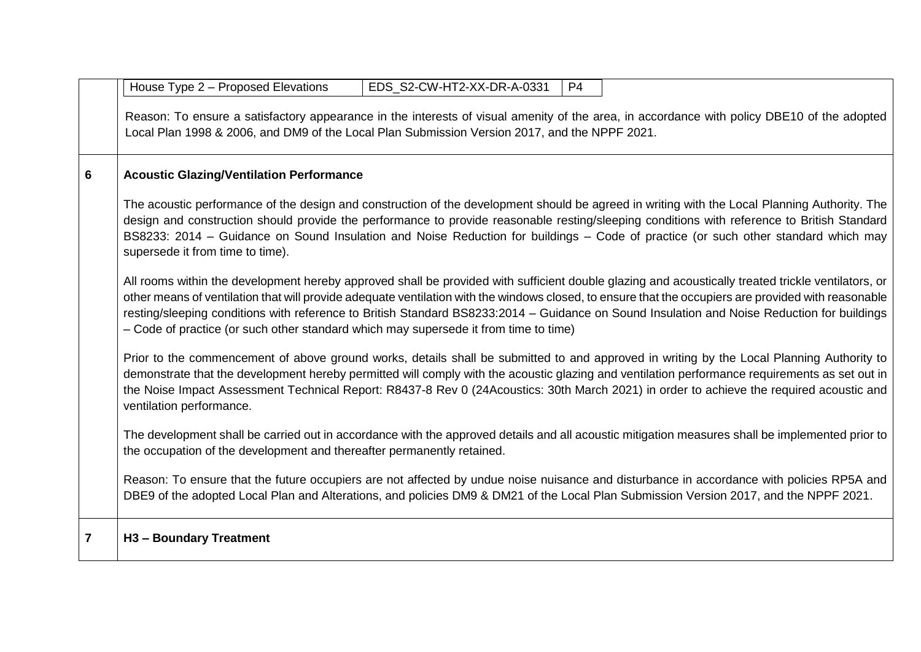|                         | House Type 2 - Proposed Elevations<br>EDS_S2-CW-HT2-XX-DR-A-0331<br>P4                                                                                                                                                                                                                                                                                                                                                                                                                                                                            |
|-------------------------|---------------------------------------------------------------------------------------------------------------------------------------------------------------------------------------------------------------------------------------------------------------------------------------------------------------------------------------------------------------------------------------------------------------------------------------------------------------------------------------------------------------------------------------------------|
|                         | Reason: To ensure a satisfactory appearance in the interests of visual amenity of the area, in accordance with policy DBE10 of the adopted<br>Local Plan 1998 & 2006, and DM9 of the Local Plan Submission Version 2017, and the NPPF 2021.                                                                                                                                                                                                                                                                                                       |
| 6                       | <b>Acoustic Glazing/Ventilation Performance</b>                                                                                                                                                                                                                                                                                                                                                                                                                                                                                                   |
|                         | The acoustic performance of the design and construction of the development should be agreed in writing with the Local Planning Authority. The<br>design and construction should provide the performance to provide reasonable resting/sleeping conditions with reference to British Standard<br>BS8233: 2014 - Guidance on Sound Insulation and Noise Reduction for buildings - Code of practice (or such other standard which may<br>supersede it from time to time).                                                                            |
|                         | All rooms within the development hereby approved shall be provided with sufficient double glazing and acoustically treated trickle ventilators, or<br>other means of ventilation that will provide adequate ventilation with the windows closed, to ensure that the occupiers are provided with reasonable<br>resting/sleeping conditions with reference to British Standard BS8233:2014 - Guidance on Sound Insulation and Noise Reduction for buildings<br>- Code of practice (or such other standard which may supersede it from time to time) |
|                         | Prior to the commencement of above ground works, details shall be submitted to and approved in writing by the Local Planning Authority to<br>demonstrate that the development hereby permitted will comply with the acoustic glazing and ventilation performance requirements as set out in<br>the Noise Impact Assessment Technical Report: R8437-8 Rev 0 (24Acoustics: 30th March 2021) in order to achieve the required acoustic and<br>ventilation performance.                                                                               |
|                         | The development shall be carried out in accordance with the approved details and all acoustic mitigation measures shall be implemented prior to<br>the occupation of the development and thereafter permanently retained.                                                                                                                                                                                                                                                                                                                         |
|                         | Reason: To ensure that the future occupiers are not affected by undue noise nuisance and disturbance in accordance with policies RP5A and<br>DBE9 of the adopted Local Plan and Alterations, and policies DM9 & DM21 of the Local Plan Submission Version 2017, and the NPPF 2021.                                                                                                                                                                                                                                                                |
| $\overline{\mathbf{7}}$ | H3 - Boundary Treatment                                                                                                                                                                                                                                                                                                                                                                                                                                                                                                                           |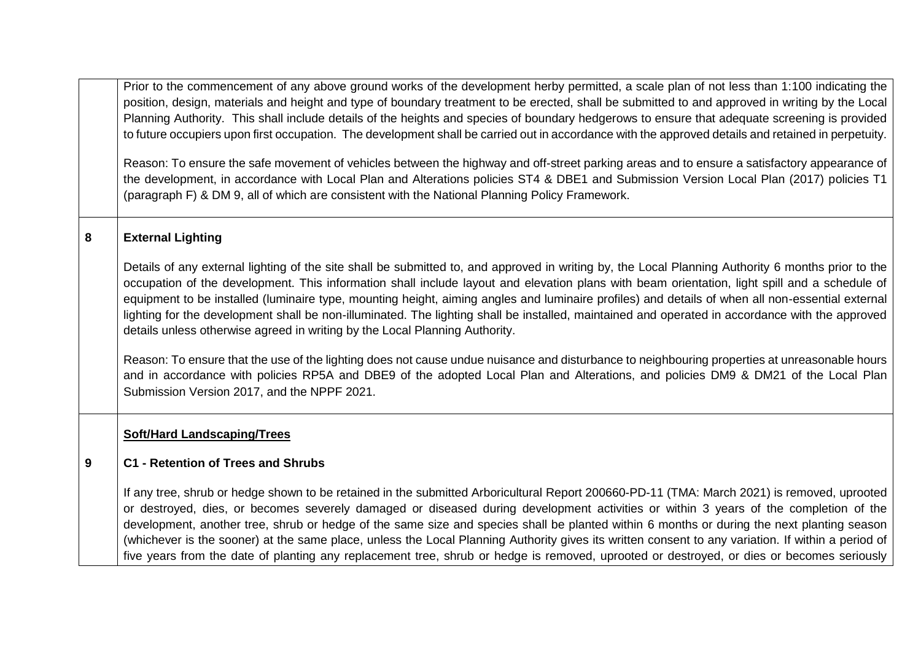Prior to the commencement of any above ground works of the development herby permitted, a scale plan of not less than 1:100 indicating the position, design, materials and height and type of boundary treatment to be erected, shall be submitted to and approved in writing by the Local Planning Authority. This shall include details of the heights and species of boundary hedgerows to ensure that adequate screening is provided to future occupiers upon first occupation. The development shall be carried out in accordance with the approved details and retained in perpetuity.

Reason: To ensure the safe movement of vehicles between the highway and off-street parking areas and to ensure a satisfactory appearance of the development, in accordance with Local Plan and Alterations policies ST4 & DBE1 and Submission Version Local Plan (2017) policies T1 (paragraph F) & DM 9, all of which are consistent with the National Planning Policy Framework.

# **8 External Lighting**

Details of any external lighting of the site shall be submitted to, and approved in writing by, the Local Planning Authority 6 months prior to the occupation of the development. This information shall include layout and elevation plans with beam orientation, light spill and a schedule of equipment to be installed (luminaire type, mounting height, aiming angles and luminaire profiles) and details of when all non-essential external lighting for the development shall be non-illuminated. The lighting shall be installed, maintained and operated in accordance with the approved details unless otherwise agreed in writing by the Local Planning Authority.

Reason: To ensure that the use of the lighting does not cause undue nuisance and disturbance to neighbouring properties at unreasonable hours and in accordance with policies RP5A and DBE9 of the adopted Local Plan and Alterations, and policies DM9 & DM21 of the Local Plan Submission Version 2017, and the NPPF 2021.

# **Soft/Hard Landscaping/Trees**

#### **9 C1 - Retention of Trees and Shrubs**

If any tree, shrub or hedge shown to be retained in the submitted Arboricultural Report 200660-PD-11 (TMA: March 2021) is removed, uprooted or destroyed, dies, or becomes severely damaged or diseased during development activities or within 3 years of the completion of the development, another tree, shrub or hedge of the same size and species shall be planted within 6 months or during the next planting season (whichever is the sooner) at the same place, unless the Local Planning Authority gives its written consent to any variation. If within a period of five years from the date of planting any replacement tree, shrub or hedge is removed, uprooted or destroyed, or dies or becomes seriously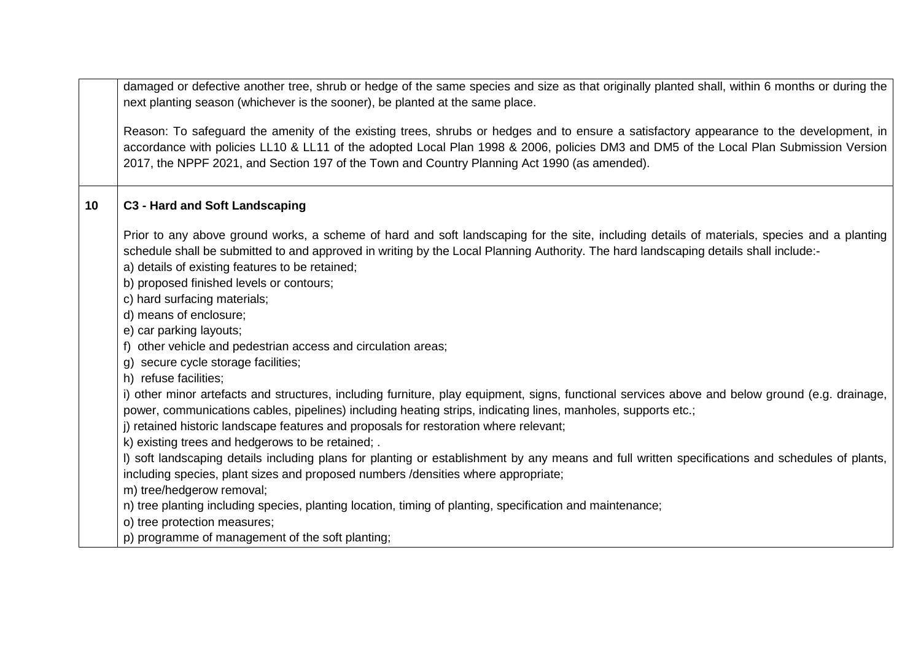damaged or defective another tree, shrub or hedge of the same species and size as that originally planted shall, within 6 months or during the next planting season (whichever is the sooner), be planted at the same place.

Reason: To safeguard the amenity of the existing trees, shrubs or hedges and to ensure a satisfactory appearance to the development, in accordance with policies LL10 & LL11 of the adopted Local Plan 1998 & 2006, policies DM3 and DM5 of the Local Plan Submission Version 2017, the NPPF 2021, and Section 197 of the Town and Country Planning Act 1990 (as amended).

# **10 C3 - Hard and Soft Landscaping**

Prior to any above ground works, a scheme of hard and soft landscaping for the site, including details of materials, species and a planting schedule shall be submitted to and approved in writing by the Local Planning Authority. The hard landscaping details shall include:-

- a) details of existing features to be retained;
- b) proposed finished levels or contours;
- c) hard surfacing materials;
- d) means of enclosure;
- e) car parking layouts;
- f) other vehicle and pedestrian access and circulation areas;
- g) secure cycle storage facilities;
- h) refuse facilities;

i) other minor artefacts and structures, including furniture, play equipment, signs, functional services above and below ground (e.g. drainage, power, communications cables, pipelines) including heating strips, indicating lines, manholes, supports etc.;

- j) retained historic landscape features and proposals for restoration where relevant;
- k) existing trees and hedgerows to be retained; .

l) soft landscaping details including plans for planting or establishment by any means and full written specifications and schedules of plants, including species, plant sizes and proposed numbers /densities where appropriate;

- m) tree/hedgerow removal;
- n) tree planting including species, planting location, timing of planting, specification and maintenance;
- o) tree protection measures;
- p) programme of management of the soft planting;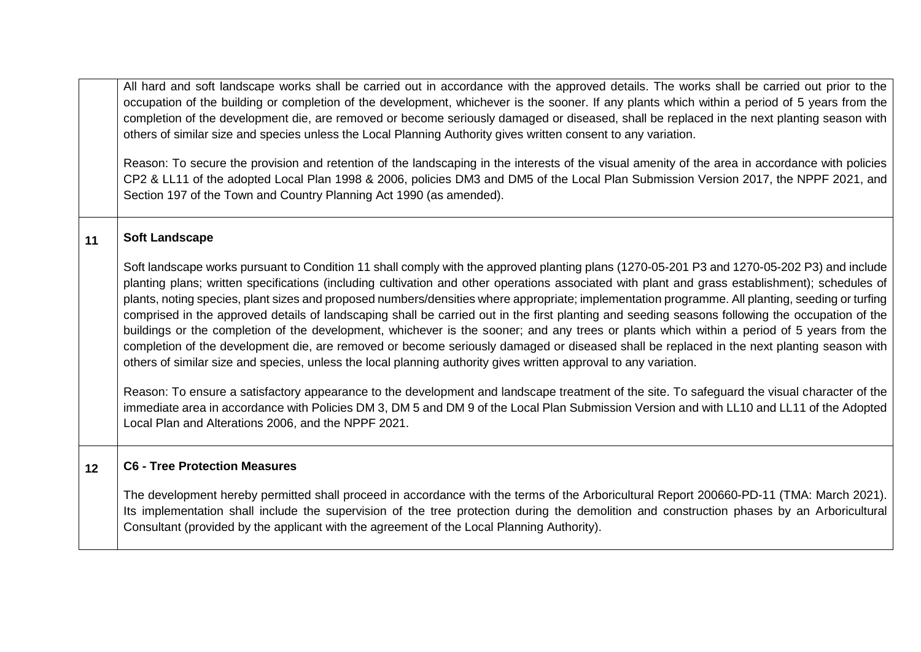All hard and soft landscape works shall be carried out in accordance with the approved details. The works shall be carried out prior to the occupation of the building or completion of the development, whichever is the sooner. If any plants which within a period of 5 years from the completion of the development die, are removed or become seriously damaged or diseased, shall be replaced in the next planting season with others of similar size and species unless the Local Planning Authority gives written consent to any variation.

Reason: To secure the provision and retention of the landscaping in the interests of the visual amenity of the area in accordance with policies CP2 & LL11 of the adopted Local Plan 1998 & 2006, policies DM3 and DM5 of the Local Plan Submission Version 2017, the NPPF 2021, and Section 197 of the Town and Country Planning Act 1990 (as amended).

### **11 Soft Landscape**

Soft landscape works pursuant to Condition 11 shall comply with the approved planting plans (1270-05-201 P3 and 1270-05-202 P3) and include planting plans; written specifications (including cultivation and other operations associated with plant and grass establishment); schedules of plants, noting species, plant sizes and proposed numbers/densities where appropriate; implementation programme. All planting, seeding or turfing comprised in the approved details of landscaping shall be carried out in the first planting and seeding seasons following the occupation of the buildings or the completion of the development, whichever is the sooner; and any trees or plants which within a period of 5 years from the completion of the development die, are removed or become seriously damaged or diseased shall be replaced in the next planting season with others of similar size and species, unless the local planning authority gives written approval to any variation.

Reason: To ensure a satisfactory appearance to the development and landscape treatment of the site. To safeguard the visual character of the immediate area in accordance with Policies DM 3, DM 5 and DM 9 of the Local Plan Submission Version and with LL10 and LL11 of the Adopted Local Plan and Alterations 2006, and the NPPF 2021.

### **12 C6 - Tree Protection Measures**

The development hereby permitted shall proceed in accordance with the terms of the Arboricultural Report 200660-PD-11 (TMA: March 2021). Its implementation shall include the supervision of the tree protection during the demolition and construction phases by an Arboricultural Consultant (provided by the applicant with the agreement of the Local Planning Authority).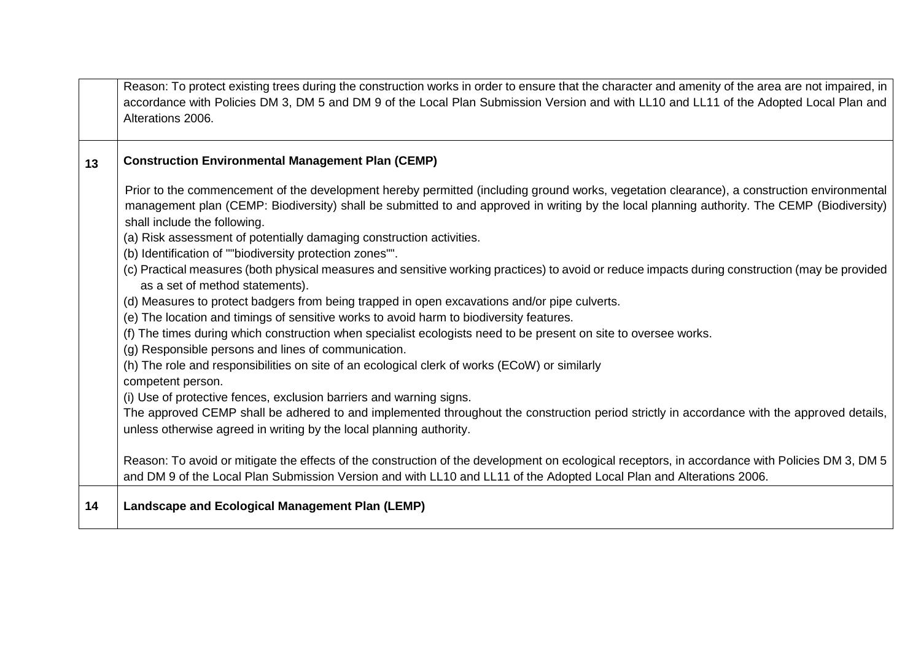|    | Reason: To protect existing trees during the construction works in order to ensure that the character and amenity of the area are not impaired, in<br>accordance with Policies DM 3, DM 5 and DM 9 of the Local Plan Submission Version and with LL10 and LL11 of the Adopted Local Plan and<br>Alterations 2006.                                                                                                                                                                                                                                                                                                                                                                                                                                                                                                                                                                                                                                                                                                        |
|----|--------------------------------------------------------------------------------------------------------------------------------------------------------------------------------------------------------------------------------------------------------------------------------------------------------------------------------------------------------------------------------------------------------------------------------------------------------------------------------------------------------------------------------------------------------------------------------------------------------------------------------------------------------------------------------------------------------------------------------------------------------------------------------------------------------------------------------------------------------------------------------------------------------------------------------------------------------------------------------------------------------------------------|
| 13 | <b>Construction Environmental Management Plan (CEMP)</b>                                                                                                                                                                                                                                                                                                                                                                                                                                                                                                                                                                                                                                                                                                                                                                                                                                                                                                                                                                 |
|    | Prior to the commencement of the development hereby permitted (including ground works, vegetation clearance), a construction environmental<br>management plan (CEMP: Biodiversity) shall be submitted to and approved in writing by the local planning authority. The CEMP (Biodiversity)<br>shall include the following.<br>(a) Risk assessment of potentially damaging construction activities.<br>(b) Identification of ""biodiversity protection zones"".<br>(c) Practical measures (both physical measures and sensitive working practices) to avoid or reduce impacts during construction (may be provided<br>as a set of method statements).<br>(d) Measures to protect badgers from being trapped in open excavations and/or pipe culverts.<br>(e) The location and timings of sensitive works to avoid harm to biodiversity features.<br>(f) The times during which construction when specialist ecologists need to be present on site to oversee works.<br>(g) Responsible persons and lines of communication. |
|    | (h) The role and responsibilities on site of an ecological clerk of works (ECoW) or similarly<br>competent person.                                                                                                                                                                                                                                                                                                                                                                                                                                                                                                                                                                                                                                                                                                                                                                                                                                                                                                       |
|    | (i) Use of protective fences, exclusion barriers and warning signs.<br>The approved CEMP shall be adhered to and implemented throughout the construction period strictly in accordance with the approved details,<br>unless otherwise agreed in writing by the local planning authority.                                                                                                                                                                                                                                                                                                                                                                                                                                                                                                                                                                                                                                                                                                                                 |
|    | Reason: To avoid or mitigate the effects of the construction of the development on ecological receptors, in accordance with Policies DM 3, DM 5<br>and DM 9 of the Local Plan Submission Version and with LL10 and LL11 of the Adopted Local Plan and Alterations 2006.                                                                                                                                                                                                                                                                                                                                                                                                                                                                                                                                                                                                                                                                                                                                                  |
| 14 | Landscape and Ecological Management Plan (LEMP)                                                                                                                                                                                                                                                                                                                                                                                                                                                                                                                                                                                                                                                                                                                                                                                                                                                                                                                                                                          |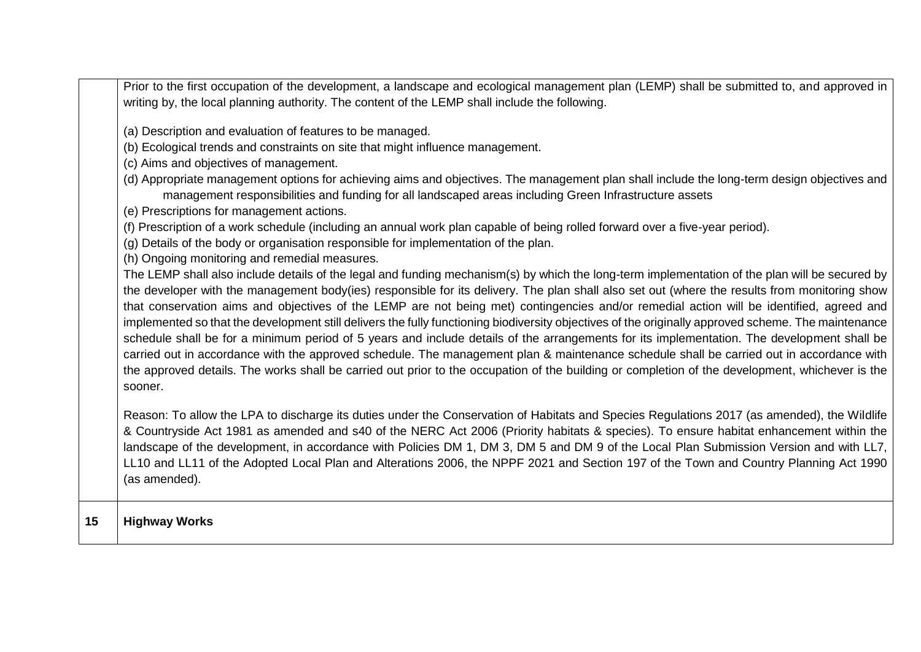|    | Prior to the first occupation of the development, a landscape and ecological management plan (LEMP) shall be submitted to, and approved in<br>writing by, the local planning authority. The content of the LEMP shall include the following.                                                                                                                                                                                                                                                                                                                                                                                                                                                                                                                                                                                                                                                                                                                                                                                                                                                                                                                                                                                                                                                                                                                                                                                                                                                                                                                                                                                                                                                                                                                                                                                      |
|----|-----------------------------------------------------------------------------------------------------------------------------------------------------------------------------------------------------------------------------------------------------------------------------------------------------------------------------------------------------------------------------------------------------------------------------------------------------------------------------------------------------------------------------------------------------------------------------------------------------------------------------------------------------------------------------------------------------------------------------------------------------------------------------------------------------------------------------------------------------------------------------------------------------------------------------------------------------------------------------------------------------------------------------------------------------------------------------------------------------------------------------------------------------------------------------------------------------------------------------------------------------------------------------------------------------------------------------------------------------------------------------------------------------------------------------------------------------------------------------------------------------------------------------------------------------------------------------------------------------------------------------------------------------------------------------------------------------------------------------------------------------------------------------------------------------------------------------------|
|    | (a) Description and evaluation of features to be managed.<br>(b) Ecological trends and constraints on site that might influence management.<br>(c) Aims and objectives of management.<br>(d) Appropriate management options for achieving aims and objectives. The management plan shall include the long-term design objectives and<br>management responsibilities and funding for all landscaped areas including Green Infrastructure assets<br>(e) Prescriptions for management actions.<br>(f) Prescription of a work schedule (including an annual work plan capable of being rolled forward over a five-year period).<br>(g) Details of the body or organisation responsible for implementation of the plan.<br>(h) Ongoing monitoring and remedial measures.<br>The LEMP shall also include details of the legal and funding mechanism(s) by which the long-term implementation of the plan will be secured by<br>the developer with the management body(ies) responsible for its delivery. The plan shall also set out (where the results from monitoring show<br>that conservation aims and objectives of the LEMP are not being met) contingencies and/or remedial action will be identified, agreed and<br>implemented so that the development still delivers the fully functioning biodiversity objectives of the originally approved scheme. The maintenance<br>schedule shall be for a minimum period of 5 years and include details of the arrangements for its implementation. The development shall be<br>carried out in accordance with the approved schedule. The management plan & maintenance schedule shall be carried out in accordance with<br>the approved details. The works shall be carried out prior to the occupation of the building or completion of the development, whichever is the<br>sooner. |
|    | Reason: To allow the LPA to discharge its duties under the Conservation of Habitats and Species Regulations 2017 (as amended), the Wildlife<br>& Countryside Act 1981 as amended and s40 of the NERC Act 2006 (Priority habitats & species). To ensure habitat enhancement within the<br>landscape of the development, in accordance with Policies DM 1, DM 3, DM 5 and DM 9 of the Local Plan Submission Version and with LL7,<br>LL10 and LL11 of the Adopted Local Plan and Alterations 2006, the NPPF 2021 and Section 197 of the Town and Country Planning Act 1990<br>(as amended).                                                                                                                                                                                                                                                                                                                                                                                                                                                                                                                                                                                                                                                                                                                                                                                                                                                                                                                                                                                                                                                                                                                                                                                                                                         |
| 15 | <b>Highway Works</b>                                                                                                                                                                                                                                                                                                                                                                                                                                                                                                                                                                                                                                                                                                                                                                                                                                                                                                                                                                                                                                                                                                                                                                                                                                                                                                                                                                                                                                                                                                                                                                                                                                                                                                                                                                                                              |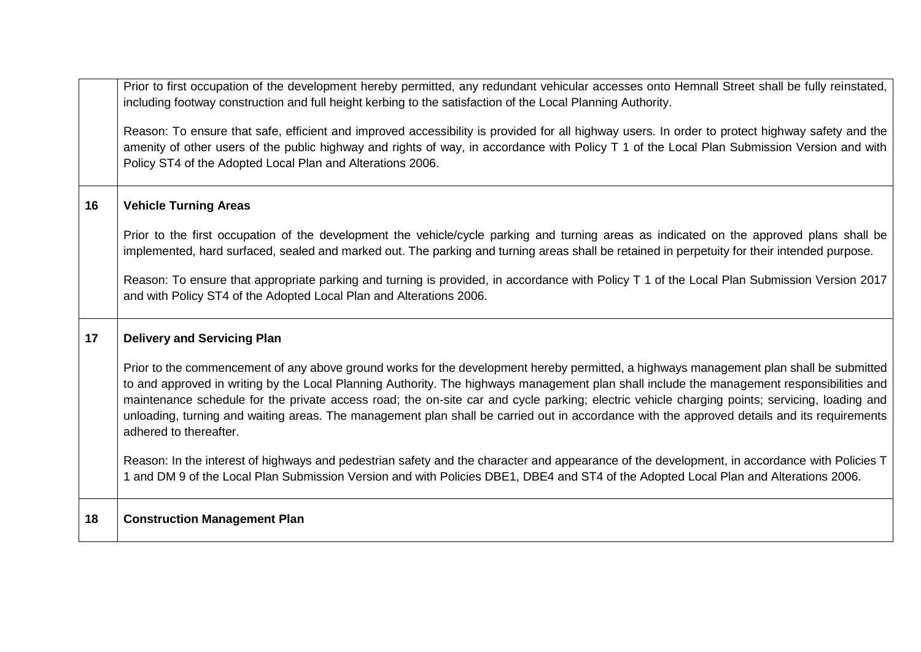|    | Prior to first occupation of the development hereby permitted, any redundant vehicular accesses onto Hemnall Street shall be fully reinstated,<br>including footway construction and full height kerbing to the satisfaction of the Local Planning Authority.                                                                                                                                                                                                                                                                                                                                                   |
|----|-----------------------------------------------------------------------------------------------------------------------------------------------------------------------------------------------------------------------------------------------------------------------------------------------------------------------------------------------------------------------------------------------------------------------------------------------------------------------------------------------------------------------------------------------------------------------------------------------------------------|
|    | Reason: To ensure that safe, efficient and improved accessibility is provided for all highway users. In order to protect highway safety and the<br>amenity of other users of the public highway and rights of way, in accordance with Policy T 1 of the Local Plan Submission Version and with<br>Policy ST4 of the Adopted Local Plan and Alterations 2006.                                                                                                                                                                                                                                                    |
| 16 | <b>Vehicle Turning Areas</b>                                                                                                                                                                                                                                                                                                                                                                                                                                                                                                                                                                                    |
|    | Prior to the first occupation of the development the vehicle/cycle parking and turning areas as indicated on the approved plans shall be<br>implemented, hard surfaced, sealed and marked out. The parking and turning areas shall be retained in perpetuity for their intended purpose.                                                                                                                                                                                                                                                                                                                        |
|    | Reason: To ensure that appropriate parking and turning is provided, in accordance with Policy T 1 of the Local Plan Submission Version 2017<br>and with Policy ST4 of the Adopted Local Plan and Alterations 2006.                                                                                                                                                                                                                                                                                                                                                                                              |
| 17 | <b>Delivery and Servicing Plan</b>                                                                                                                                                                                                                                                                                                                                                                                                                                                                                                                                                                              |
|    | Prior to the commencement of any above ground works for the development hereby permitted, a highways management plan shall be submitted<br>to and approved in writing by the Local Planning Authority. The highways management plan shall include the management responsibilities and<br>maintenance schedule for the private access road; the on-site car and cycle parking; electric vehicle charging points; servicing, loading and<br>unloading, turning and waiting areas. The management plan shall be carried out in accordance with the approved details and its requirements<br>adhered to thereafter. |
|    | Reason: In the interest of highways and pedestrian safety and the character and appearance of the development, in accordance with Policies T<br>1 and DM 9 of the Local Plan Submission Version and with Policies DBE1, DBE4 and ST4 of the Adopted Local Plan and Alterations 2006.                                                                                                                                                                                                                                                                                                                            |
| 18 | <b>Construction Management Plan</b>                                                                                                                                                                                                                                                                                                                                                                                                                                                                                                                                                                             |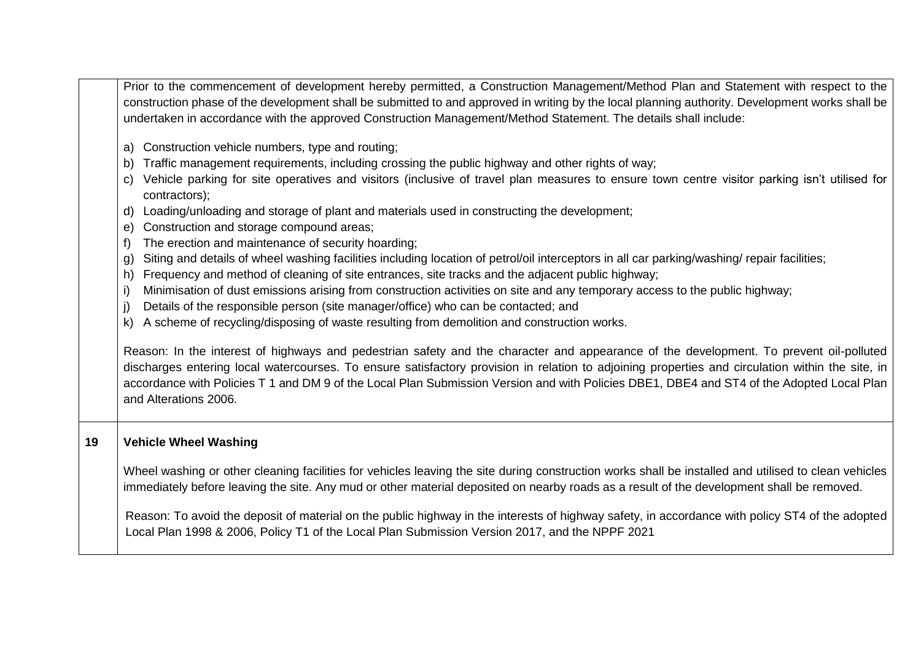Prior to the commencement of development hereby permitted, a Construction Management/Method Plan and Statement with respect to the construction phase of the development shall be submitted to and approved in writing by the local planning authority. Development works shall be undertaken in accordance with the approved Construction Management/Method Statement. The details shall include:

- a) Construction vehicle numbers, type and routing;
- b) Traffic management requirements, including crossing the public highway and other rights of way;
- c) Vehicle parking for site operatives and visitors (inclusive of travel plan measures to ensure town centre visitor parking isn't utilised for contractors);
- d) Loading/unloading and storage of plant and materials used in constructing the development;
- e) Construction and storage compound areas;
- f) The erection and maintenance of security hoarding;
- g) Siting and details of wheel washing facilities including location of petrol/oil interceptors in all car parking/washing/ repair facilities;
- h) Frequency and method of cleaning of site entrances, site tracks and the adjacent public highway;
- i) Minimisation of dust emissions arising from construction activities on site and any temporary access to the public highway;
- Details of the responsible person (site manager/office) who can be contacted; and
- k) A scheme of recycling/disposing of waste resulting from demolition and construction works.

Reason: In the interest of highways and pedestrian safety and the character and appearance of the development. To prevent oil-polluted discharges entering local watercourses. To ensure satisfactory provision in relation to adjoining properties and circulation within the site, in accordance with Policies T 1 and DM 9 of the Local Plan Submission Version and with Policies DBE1, DBE4 and ST4 of the Adopted Local Plan and Alterations 2006.

# **19 Vehicle Wheel Washing**

Wheel washing or other cleaning facilities for vehicles leaving the site during construction works shall be installed and utilised to clean vehicles immediately before leaving the site. Any mud or other material deposited on nearby roads as a result of the development shall be removed.

Reason: To avoid the deposit of material on the public highway in the interests of highway safety, in accordance with policy ST4 of the adopted Local Plan 1998 & 2006, Policy T1 of the Local Plan Submission Version 2017, and the NPPF 2021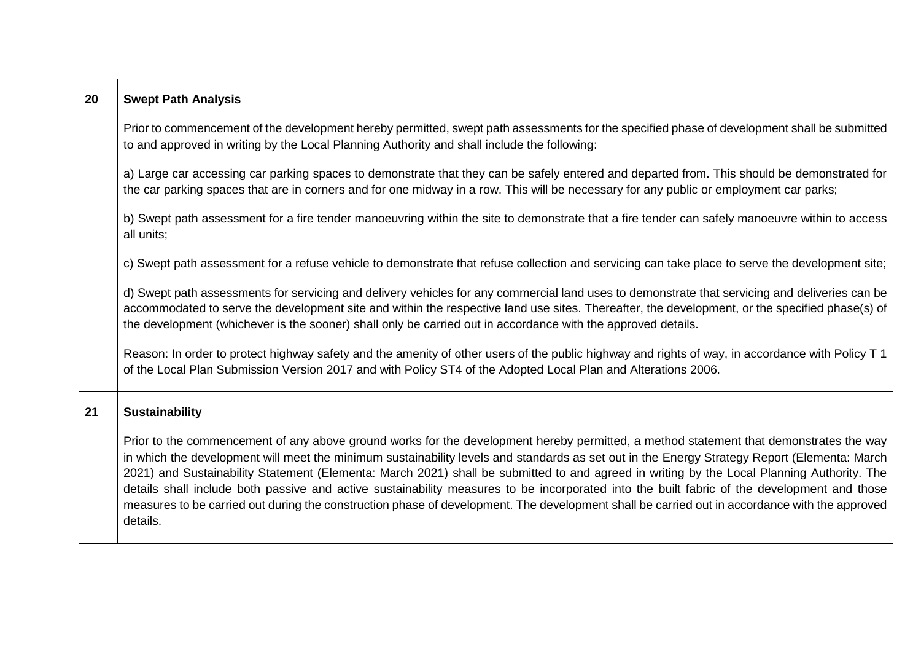| 20 | <b>Swept Path Analysis</b>                                                                                                                                                                                                                                                                                                                                                                                                                                                                                                                                                                                                                                                                                                                       |
|----|--------------------------------------------------------------------------------------------------------------------------------------------------------------------------------------------------------------------------------------------------------------------------------------------------------------------------------------------------------------------------------------------------------------------------------------------------------------------------------------------------------------------------------------------------------------------------------------------------------------------------------------------------------------------------------------------------------------------------------------------------|
|    | Prior to commencement of the development hereby permitted, swept path assessments for the specified phase of development shall be submitted<br>to and approved in writing by the Local Planning Authority and shall include the following:                                                                                                                                                                                                                                                                                                                                                                                                                                                                                                       |
|    | a) Large car accessing car parking spaces to demonstrate that they can be safely entered and departed from. This should be demonstrated for<br>the car parking spaces that are in corners and for one midway in a row. This will be necessary for any public or employment car parks;                                                                                                                                                                                                                                                                                                                                                                                                                                                            |
|    | b) Swept path assessment for a fire tender manoeuvring within the site to demonstrate that a fire tender can safely manoeuvre within to access<br>all units;                                                                                                                                                                                                                                                                                                                                                                                                                                                                                                                                                                                     |
|    | c) Swept path assessment for a refuse vehicle to demonstrate that refuse collection and servicing can take place to serve the development site;                                                                                                                                                                                                                                                                                                                                                                                                                                                                                                                                                                                                  |
|    | d) Swept path assessments for servicing and delivery vehicles for any commercial land uses to demonstrate that servicing and deliveries can be<br>accommodated to serve the development site and within the respective land use sites. Thereafter, the development, or the specified phase(s) of<br>the development (whichever is the sooner) shall only be carried out in accordance with the approved details.                                                                                                                                                                                                                                                                                                                                 |
|    | Reason: In order to protect highway safety and the amenity of other users of the public highway and rights of way, in accordance with Policy T 1<br>of the Local Plan Submission Version 2017 and with Policy ST4 of the Adopted Local Plan and Alterations 2006.                                                                                                                                                                                                                                                                                                                                                                                                                                                                                |
| 21 | <b>Sustainability</b>                                                                                                                                                                                                                                                                                                                                                                                                                                                                                                                                                                                                                                                                                                                            |
|    | Prior to the commencement of any above ground works for the development hereby permitted, a method statement that demonstrates the way<br>in which the development will meet the minimum sustainability levels and standards as set out in the Energy Strategy Report (Elementa: March<br>2021) and Sustainability Statement (Elementa: March 2021) shall be submitted to and agreed in writing by the Local Planning Authority. The<br>details shall include both passive and active sustainability measures to be incorporated into the built fabric of the development and those<br>measures to be carried out during the construction phase of development. The development shall be carried out in accordance with the approved<br>details. |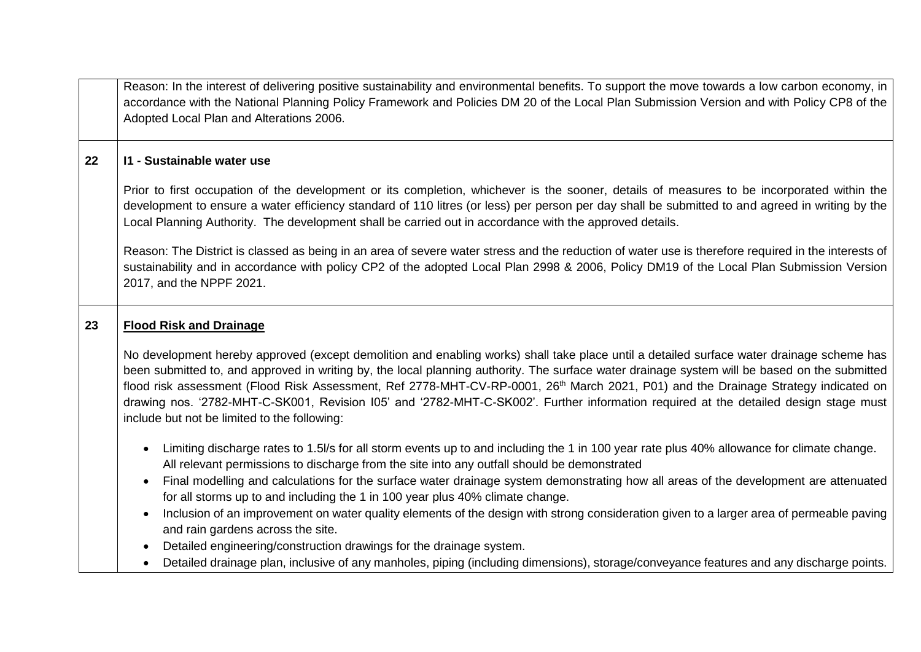Reason: In the interest of delivering positive sustainability and environmental benefits. To support the move towards a low carbon economy, in accordance with the National Planning Policy Framework and Policies DM 20 of the Local Plan Submission Version and with Policy CP8 of the Adopted Local Plan and Alterations 2006.

# **22 I1 - Sustainable water use**

Prior to first occupation of the development or its completion, whichever is the sooner, details of measures to be incorporated within the development to ensure a water efficiency standard of 110 litres (or less) per person per day shall be submitted to and agreed in writing by the Local Planning Authority. The development shall be carried out in accordance with the approved details.

Reason: The District is classed as being in an area of severe water stress and the reduction of water use is therefore required in the interests of sustainability and in accordance with policy CP2 of the adopted Local Plan 2998 & 2006, Policy DM19 of the Local Plan Submission Version 2017, and the NPPF 2021.

# **23 Flood Risk and Drainage**

No development hereby approved (except demolition and enabling works) shall take place until a detailed surface water drainage scheme has been submitted to, and approved in writing by, the local planning authority. The surface water drainage system will be based on the submitted flood risk assessment (Flood Risk Assessment, Ref 2778-MHT-CV-RP-0001, 26<sup>th</sup> March 2021, P01) and the Drainage Strategy indicated on drawing nos. '2782-MHT-C-SK001, Revision I05' and '2782-MHT-C-SK002'. Further information required at the detailed design stage must include but not be limited to the following:

- Limiting discharge rates to 1.5l/s for all storm events up to and including the 1 in 100 year rate plus 40% allowance for climate change. All relevant permissions to discharge from the site into any outfall should be demonstrated
- Final modelling and calculations for the surface water drainage system demonstrating how all areas of the development are attenuated for all storms up to and including the 1 in 100 year plus 40% climate change.
- Inclusion of an improvement on water quality elements of the design with strong consideration given to a larger area of permeable paving and rain gardens across the site.
- Detailed engineering/construction drawings for the drainage system.
- Detailed drainage plan, inclusive of any manholes, piping (including dimensions), storage/conveyance features and any discharge points.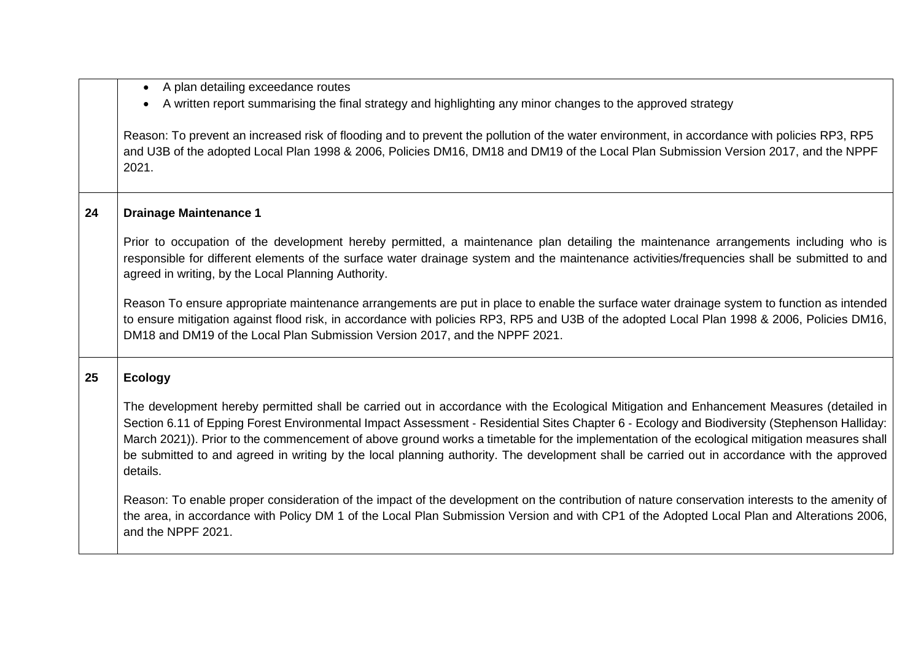|    | A plan detailing exceedance routes                                                                                                                                                                                                                                                                                                                                                                                                                                                                                                                                                                  |
|----|-----------------------------------------------------------------------------------------------------------------------------------------------------------------------------------------------------------------------------------------------------------------------------------------------------------------------------------------------------------------------------------------------------------------------------------------------------------------------------------------------------------------------------------------------------------------------------------------------------|
|    | A written report summarising the final strategy and highlighting any minor changes to the approved strategy<br>$\bullet$                                                                                                                                                                                                                                                                                                                                                                                                                                                                            |
|    | Reason: To prevent an increased risk of flooding and to prevent the pollution of the water environment, in accordance with policies RP3, RP5<br>and U3B of the adopted Local Plan 1998 & 2006, Policies DM16, DM18 and DM19 of the Local Plan Submission Version 2017, and the NPPF<br>2021.                                                                                                                                                                                                                                                                                                        |
| 24 | <b>Drainage Maintenance 1</b>                                                                                                                                                                                                                                                                                                                                                                                                                                                                                                                                                                       |
|    | Prior to occupation of the development hereby permitted, a maintenance plan detailing the maintenance arrangements including who is<br>responsible for different elements of the surface water drainage system and the maintenance activities/frequencies shall be submitted to and<br>agreed in writing, by the Local Planning Authority.                                                                                                                                                                                                                                                          |
|    | Reason To ensure appropriate maintenance arrangements are put in place to enable the surface water drainage system to function as intended<br>to ensure mitigation against flood risk, in accordance with policies RP3, RP5 and U3B of the adopted Local Plan 1998 & 2006, Policies DM16,<br>DM18 and DM19 of the Local Plan Submission Version 2017, and the NPPF 2021.                                                                                                                                                                                                                            |
| 25 | <b>Ecology</b>                                                                                                                                                                                                                                                                                                                                                                                                                                                                                                                                                                                      |
|    | The development hereby permitted shall be carried out in accordance with the Ecological Mitigation and Enhancement Measures (detailed in<br>Section 6.11 of Epping Forest Environmental Impact Assessment - Residential Sites Chapter 6 - Ecology and Biodiversity (Stephenson Halliday:<br>March 2021)). Prior to the commencement of above ground works a timetable for the implementation of the ecological mitigation measures shall<br>be submitted to and agreed in writing by the local planning authority. The development shall be carried out in accordance with the approved<br>details. |
|    | Reason: To enable proper consideration of the impact of the development on the contribution of nature conservation interests to the amenity of<br>the area, in accordance with Policy DM 1 of the Local Plan Submission Version and with CP1 of the Adopted Local Plan and Alterations 2006,<br>and the NPPF 2021.                                                                                                                                                                                                                                                                                  |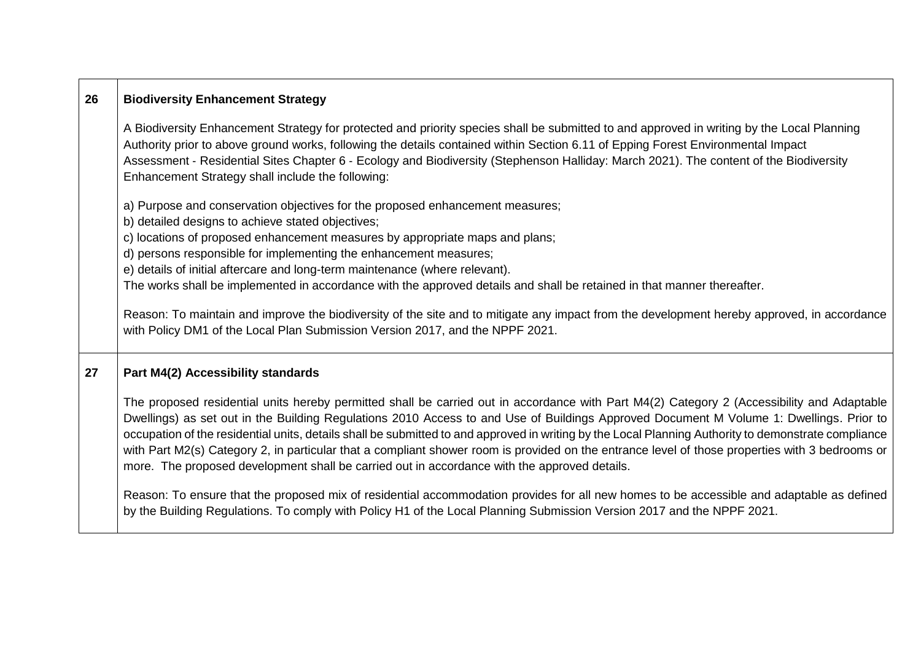| 26 | <b>Biodiversity Enhancement Strategy</b>                                                                                                                                                                                                                                                                                                                                                                                                                                                                                                                                                                                                                                                         |
|----|--------------------------------------------------------------------------------------------------------------------------------------------------------------------------------------------------------------------------------------------------------------------------------------------------------------------------------------------------------------------------------------------------------------------------------------------------------------------------------------------------------------------------------------------------------------------------------------------------------------------------------------------------------------------------------------------------|
|    | A Biodiversity Enhancement Strategy for protected and priority species shall be submitted to and approved in writing by the Local Planning<br>Authority prior to above ground works, following the details contained within Section 6.11 of Epping Forest Environmental Impact<br>Assessment - Residential Sites Chapter 6 - Ecology and Biodiversity (Stephenson Halliday: March 2021). The content of the Biodiversity<br>Enhancement Strategy shall include the following:                                                                                                                                                                                                                    |
|    | a) Purpose and conservation objectives for the proposed enhancement measures;                                                                                                                                                                                                                                                                                                                                                                                                                                                                                                                                                                                                                    |
|    | b) detailed designs to achieve stated objectives;                                                                                                                                                                                                                                                                                                                                                                                                                                                                                                                                                                                                                                                |
|    | c) locations of proposed enhancement measures by appropriate maps and plans;                                                                                                                                                                                                                                                                                                                                                                                                                                                                                                                                                                                                                     |
|    | d) persons responsible for implementing the enhancement measures;<br>e) details of initial aftercare and long-term maintenance (where relevant).                                                                                                                                                                                                                                                                                                                                                                                                                                                                                                                                                 |
|    | The works shall be implemented in accordance with the approved details and shall be retained in that manner thereafter.                                                                                                                                                                                                                                                                                                                                                                                                                                                                                                                                                                          |
|    |                                                                                                                                                                                                                                                                                                                                                                                                                                                                                                                                                                                                                                                                                                  |
|    | Reason: To maintain and improve the biodiversity of the site and to mitigate any impact from the development hereby approved, in accordance<br>with Policy DM1 of the Local Plan Submission Version 2017, and the NPPF 2021.                                                                                                                                                                                                                                                                                                                                                                                                                                                                     |
| 27 | Part M4(2) Accessibility standards                                                                                                                                                                                                                                                                                                                                                                                                                                                                                                                                                                                                                                                               |
|    | The proposed residential units hereby permitted shall be carried out in accordance with Part M4(2) Category 2 (Accessibility and Adaptable<br>Dwellings) as set out in the Building Regulations 2010 Access to and Use of Buildings Approved Document M Volume 1: Dwellings. Prior to<br>occupation of the residential units, details shall be submitted to and approved in writing by the Local Planning Authority to demonstrate compliance<br>with Part M2(s) Category 2, in particular that a compliant shower room is provided on the entrance level of those properties with 3 bedrooms or<br>more. The proposed development shall be carried out in accordance with the approved details. |
|    | Reason: To ensure that the proposed mix of residential accommodation provides for all new homes to be accessible and adaptable as defined<br>by the Building Regulations. To comply with Policy H1 of the Local Planning Submission Version 2017 and the NPPF 2021.                                                                                                                                                                                                                                                                                                                                                                                                                              |

 $\sqrt{2}$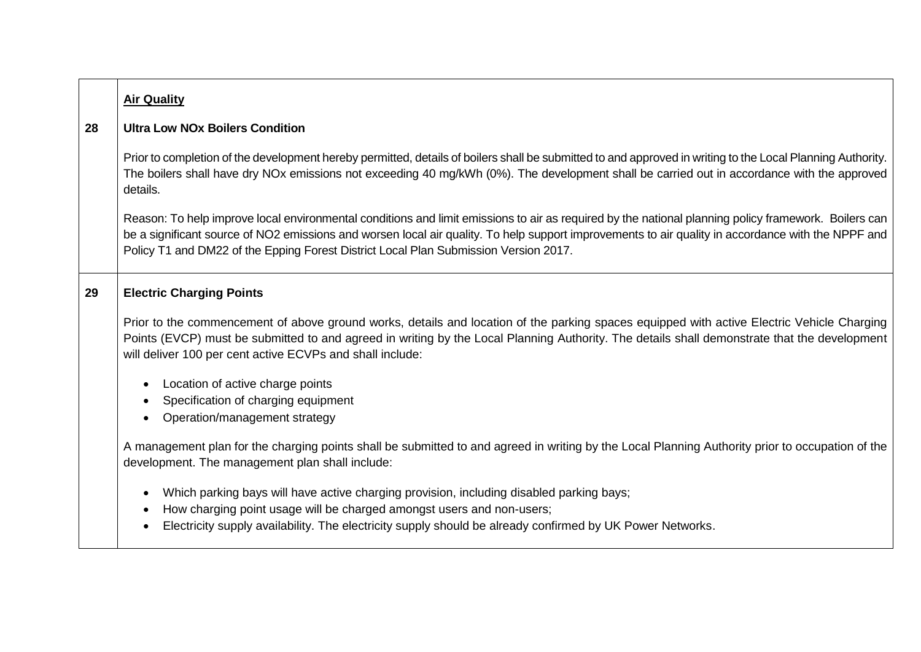| <b>Air Quality</b>                                                                                                                                                                                                                                                                                                                                                                                 |
|----------------------------------------------------------------------------------------------------------------------------------------------------------------------------------------------------------------------------------------------------------------------------------------------------------------------------------------------------------------------------------------------------|
| <b>Ultra Low NOx Boilers Condition</b>                                                                                                                                                                                                                                                                                                                                                             |
| Prior to completion of the development hereby permitted, details of boilers shall be submitted to and approved in writing to the Local Planning Authority.<br>The boilers shall have dry NOx emissions not exceeding 40 mg/kWh (0%). The development shall be carried out in accordance with the approved<br>details.                                                                              |
| Reason: To help improve local environmental conditions and limit emissions to air as required by the national planning policy framework. Boilers can<br>be a significant source of NO2 emissions and worsen local air quality. To help support improvements to air quality in accordance with the NPPF and<br>Policy T1 and DM22 of the Epping Forest District Local Plan Submission Version 2017. |
| <b>Electric Charging Points</b>                                                                                                                                                                                                                                                                                                                                                                    |
| Prior to the commencement of above ground works, details and location of the parking spaces equipped with active Electric Vehicle Charging<br>Points (EVCP) must be submitted to and agreed in writing by the Local Planning Authority. The details shall demonstrate that the development<br>will deliver 100 per cent active ECVPs and shall include:                                            |
| Location of active charge points<br>$\bullet$<br>Specification of charging equipment<br>Operation/management strategy                                                                                                                                                                                                                                                                              |
| A management plan for the charging points shall be submitted to and agreed in writing by the Local Planning Authority prior to occupation of the<br>development. The management plan shall include:                                                                                                                                                                                                |
| Which parking bays will have active charging provision, including disabled parking bays;<br>$\bullet$                                                                                                                                                                                                                                                                                              |
| How charging point usage will be charged amongst users and non-users;<br>$\bullet$<br>Electricity supply availability. The electricity supply should be already confirmed by UK Power Networks.                                                                                                                                                                                                    |
|                                                                                                                                                                                                                                                                                                                                                                                                    |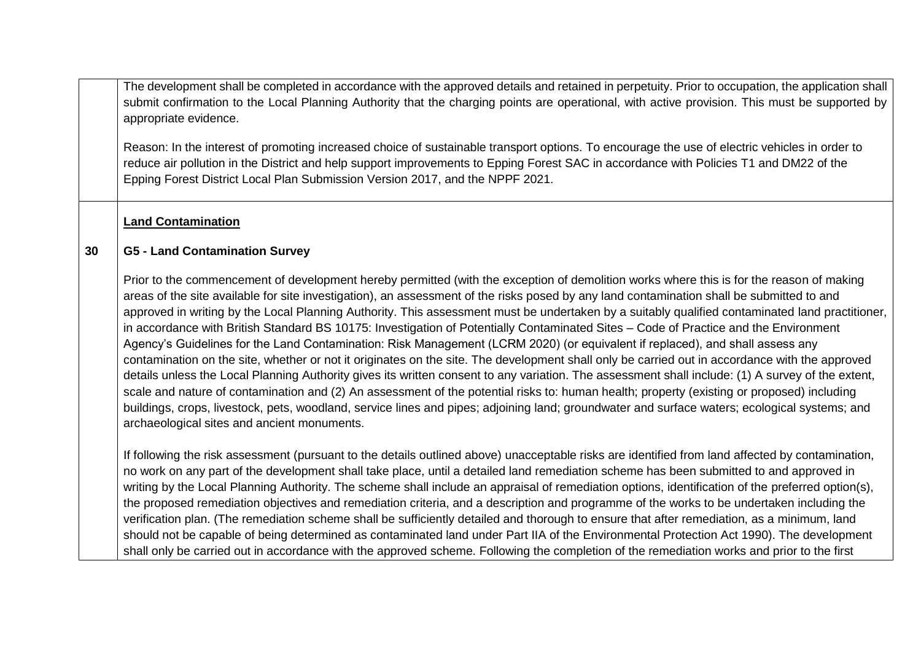The development shall be completed in accordance with the approved details and retained in perpetuity. Prior to occupation, the application shall submit confirmation to the Local Planning Authority that the charging points are operational, with active provision. This must be supported by appropriate evidence.

Reason: In the interest of promoting increased choice of sustainable transport options. To encourage the use of electric vehicles in order to reduce air pollution in the District and help support improvements to Epping Forest SAC in accordance with Policies T1 and DM22 of the Epping Forest District Local Plan Submission Version 2017, and the NPPF 2021.

# **Land Contamination**

#### **30 G5 - Land Contamination Survey**

Prior to the commencement of development hereby permitted (with the exception of demolition works where this is for the reason of making areas of the site available for site investigation), an assessment of the risks posed by any land contamination shall be submitted to and approved in writing by the Local Planning Authority. This assessment must be undertaken by a suitably qualified contaminated land practitioner, in accordance with British Standard BS 10175: Investigation of Potentially Contaminated Sites – Code of Practice and the Environment Agency's Guidelines for the Land Contamination: Risk Management (LCRM 2020) (or equivalent if replaced), and shall assess any contamination on the site, whether or not it originates on the site. The development shall only be carried out in accordance with the approved details unless the Local Planning Authority gives its written consent to any variation. The assessment shall include: (1) A survey of the extent, scale and nature of contamination and (2) An assessment of the potential risks to: human health; property (existing or proposed) including buildings, crops, livestock, pets, woodland, service lines and pipes; adjoining land; groundwater and surface waters; ecological systems; and archaeological sites and ancient monuments.

If following the risk assessment (pursuant to the details outlined above) unacceptable risks are identified from land affected by contamination, no work on any part of the development shall take place, until a detailed land remediation scheme has been submitted to and approved in writing by the Local Planning Authority. The scheme shall include an appraisal of remediation options, identification of the preferred option(s), the proposed remediation objectives and remediation criteria, and a description and programme of the works to be undertaken including the verification plan. (The remediation scheme shall be sufficiently detailed and thorough to ensure that after remediation, as a minimum, land should not be capable of being determined as contaminated land under Part IIA of the Environmental Protection Act 1990). The development shall only be carried out in accordance with the approved scheme. Following the completion of the remediation works and prior to the first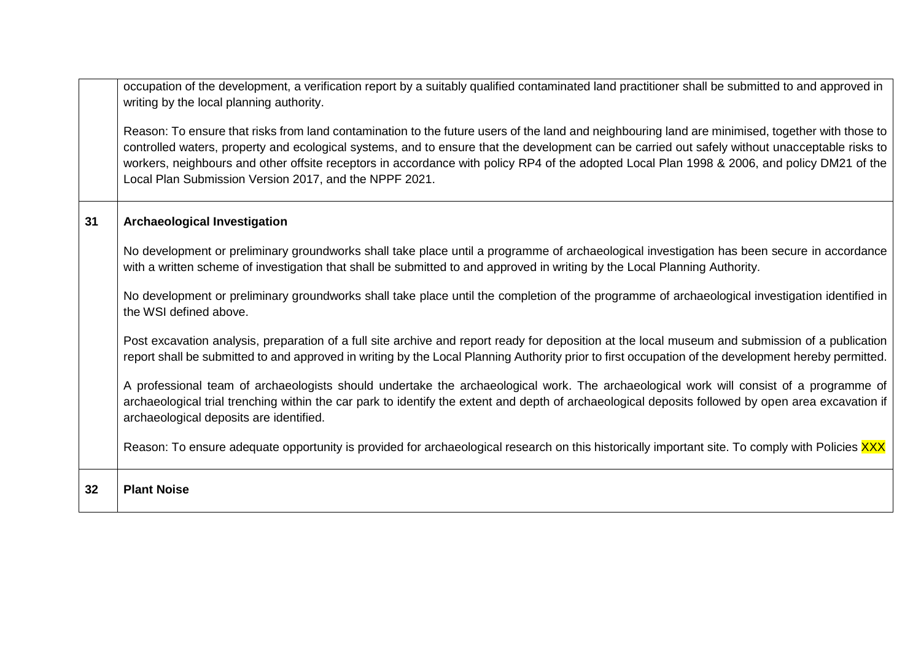|    | occupation of the development, a verification report by a suitably qualified contaminated land practitioner shall be submitted to and approved in<br>writing by the local planning authority.                                                                                                                                                                                                                                                                                                               |
|----|-------------------------------------------------------------------------------------------------------------------------------------------------------------------------------------------------------------------------------------------------------------------------------------------------------------------------------------------------------------------------------------------------------------------------------------------------------------------------------------------------------------|
|    | Reason: To ensure that risks from land contamination to the future users of the land and neighbouring land are minimised, together with those to<br>controlled waters, property and ecological systems, and to ensure that the development can be carried out safely without unacceptable risks to<br>workers, neighbours and other offsite receptors in accordance with policy RP4 of the adopted Local Plan 1998 & 2006, and policy DM21 of the<br>Local Plan Submission Version 2017, and the NPPF 2021. |
| 31 | Archaeological Investigation                                                                                                                                                                                                                                                                                                                                                                                                                                                                                |
|    | No development or preliminary groundworks shall take place until a programme of archaeological investigation has been secure in accordance<br>with a written scheme of investigation that shall be submitted to and approved in writing by the Local Planning Authority.                                                                                                                                                                                                                                    |
|    | No development or preliminary groundworks shall take place until the completion of the programme of archaeological investigation identified in<br>the WSI defined above.                                                                                                                                                                                                                                                                                                                                    |
|    | Post excavation analysis, preparation of a full site archive and report ready for deposition at the local museum and submission of a publication<br>report shall be submitted to and approved in writing by the Local Planning Authority prior to first occupation of the development hereby permitted.                                                                                                                                                                                                     |
|    | A professional team of archaeologists should undertake the archaeological work. The archaeological work will consist of a programme of<br>archaeological trial trenching within the car park to identify the extent and depth of archaeological deposits followed by open area excavation if<br>archaeological deposits are identified.                                                                                                                                                                     |
|    | Reason: To ensure adequate opportunity is provided for archaeological research on this historically important site. To comply with Policies XXX                                                                                                                                                                                                                                                                                                                                                             |
| 32 | <b>Plant Noise</b>                                                                                                                                                                                                                                                                                                                                                                                                                                                                                          |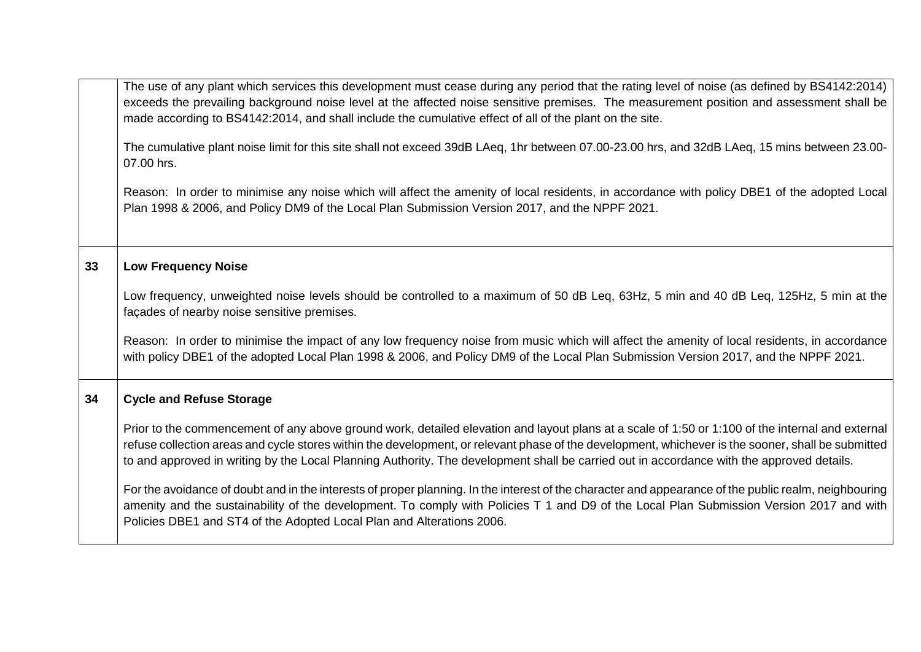|    | The use of any plant which services this development must cease during any period that the rating level of noise (as defined by BS4142:2014)<br>exceeds the prevailing background noise level at the affected noise sensitive premises. The measurement position and assessment shall be<br>made according to BS4142:2014, and shall include the cumulative effect of all of the plant on the site.<br>The cumulative plant noise limit for this site shall not exceed 39dB LAeq, 1hr between 07.00-23.00 hrs, and 32dB LAeq, 15 mins between 23.00-<br>07.00 hrs. |
|----|--------------------------------------------------------------------------------------------------------------------------------------------------------------------------------------------------------------------------------------------------------------------------------------------------------------------------------------------------------------------------------------------------------------------------------------------------------------------------------------------------------------------------------------------------------------------|
|    | Reason: In order to minimise any noise which will affect the amenity of local residents, in accordance with policy DBE1 of the adopted Local<br>Plan 1998 & 2006, and Policy DM9 of the Local Plan Submission Version 2017, and the NPPF 2021.                                                                                                                                                                                                                                                                                                                     |
| 33 | <b>Low Frequency Noise</b>                                                                                                                                                                                                                                                                                                                                                                                                                                                                                                                                         |
|    | Low frequency, unweighted noise levels should be controlled to a maximum of 50 dB Leq, 63Hz, 5 min and 40 dB Leq, 125Hz, 5 min at the<br>façades of nearby noise sensitive premises.                                                                                                                                                                                                                                                                                                                                                                               |
|    | Reason: In order to minimise the impact of any low frequency noise from music which will affect the amenity of local residents, in accordance<br>with policy DBE1 of the adopted Local Plan 1998 & 2006, and Policy DM9 of the Local Plan Submission Version 2017, and the NPPF 2021.                                                                                                                                                                                                                                                                              |
| 34 | <b>Cycle and Refuse Storage</b>                                                                                                                                                                                                                                                                                                                                                                                                                                                                                                                                    |
|    | Prior to the commencement of any above ground work, detailed elevation and layout plans at a scale of 1:50 or 1:100 of the internal and external<br>refuse collection areas and cycle stores within the development, or relevant phase of the development, whichever is the sooner, shall be submitted<br>to and approved in writing by the Local Planning Authority. The development shall be carried out in accordance with the approved details.                                                                                                                |
|    | For the avoidance of doubt and in the interests of proper planning. In the interest of the character and appearance of the public realm, neighbouring<br>amenity and the sustainability of the development. To comply with Policies T 1 and D9 of the Local Plan Submission Version 2017 and with<br>Policies DBE1 and ST4 of the Adopted Local Plan and Alterations 2006.                                                                                                                                                                                         |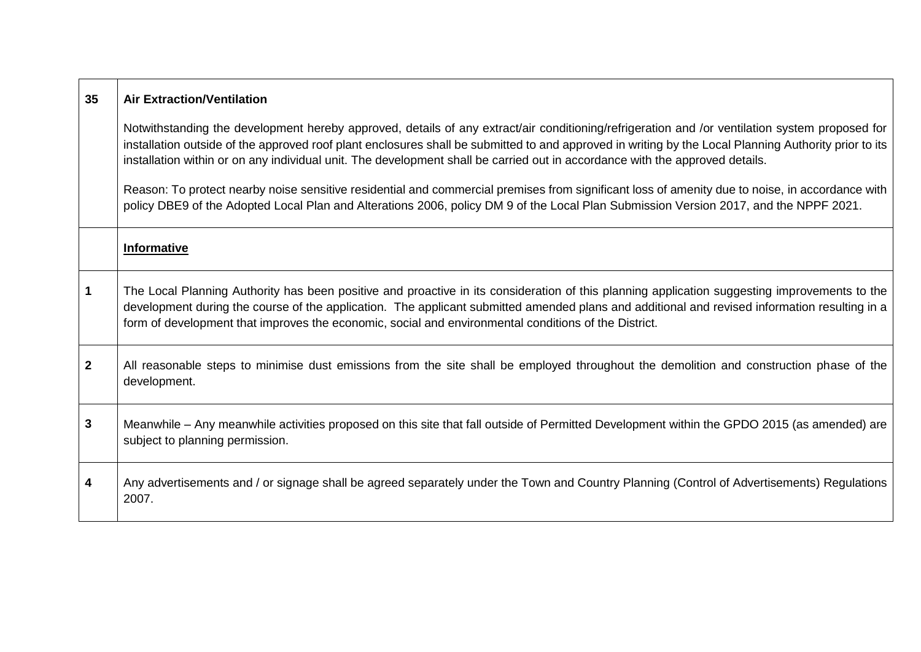| 35                      | <b>Air Extraction/Ventilation</b>                                                                                                                                                                                                                                                                                                                                                                                                       |
|-------------------------|-----------------------------------------------------------------------------------------------------------------------------------------------------------------------------------------------------------------------------------------------------------------------------------------------------------------------------------------------------------------------------------------------------------------------------------------|
|                         | Notwithstanding the development hereby approved, details of any extract/air conditioning/refrigeration and /or ventilation system proposed for<br>installation outside of the approved roof plant enclosures shall be submitted to and approved in writing by the Local Planning Authority prior to its<br>installation within or on any individual unit. The development shall be carried out in accordance with the approved details. |
|                         | Reason: To protect nearby noise sensitive residential and commercial premises from significant loss of amenity due to noise, in accordance with<br>policy DBE9 of the Adopted Local Plan and Alterations 2006, policy DM 9 of the Local Plan Submission Version 2017, and the NPPF 2021.                                                                                                                                                |
|                         | <b>Informative</b>                                                                                                                                                                                                                                                                                                                                                                                                                      |
| $\overline{\mathbf{1}}$ | The Local Planning Authority has been positive and proactive in its consideration of this planning application suggesting improvements to the<br>development during the course of the application. The applicant submitted amended plans and additional and revised information resulting in a<br>form of development that improves the economic, social and environmental conditions of the District.                                  |
| $\overline{2}$          | All reasonable steps to minimise dust emissions from the site shall be employed throughout the demolition and construction phase of the<br>development.                                                                                                                                                                                                                                                                                 |
| $\mathbf{3}$            | Meanwhile – Any meanwhile activities proposed on this site that fall outside of Permitted Development within the GPDO 2015 (as amended) are<br>subject to planning permission.                                                                                                                                                                                                                                                          |
| -4                      | Any advertisements and / or signage shall be agreed separately under the Town and Country Planning (Control of Advertisements) Regulations<br>2007.                                                                                                                                                                                                                                                                                     |

Л

 $\Gamma$ 

┯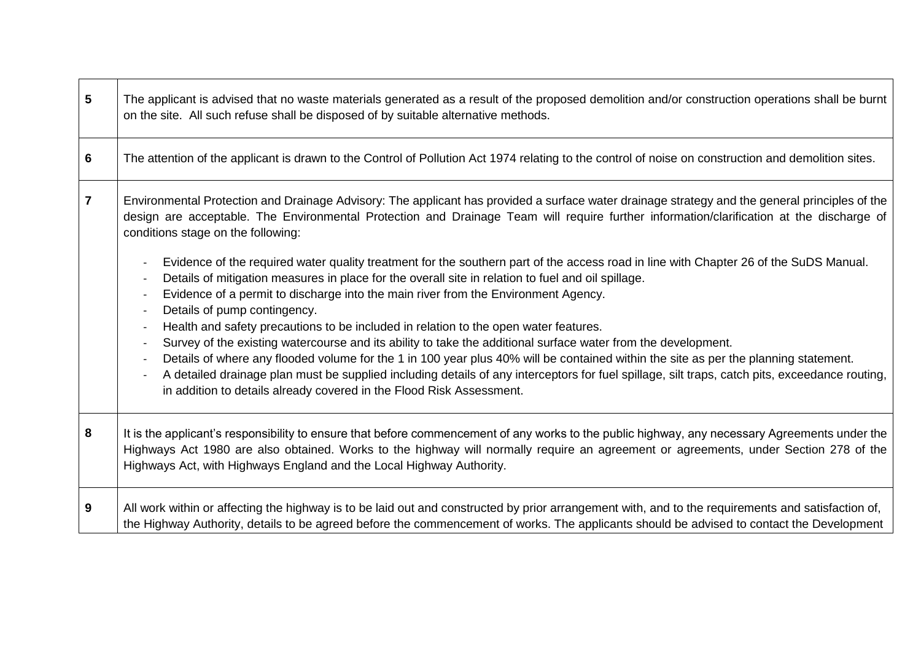| $5\phantom{1}$  | The applicant is advised that no waste materials generated as a result of the proposed demolition and/or construction operations shall be burnt<br>on the site. All such refuse shall be disposed of by suitable alternative methods.                                                                                                                                                                                                                                                                                                                                  |
|-----------------|------------------------------------------------------------------------------------------------------------------------------------------------------------------------------------------------------------------------------------------------------------------------------------------------------------------------------------------------------------------------------------------------------------------------------------------------------------------------------------------------------------------------------------------------------------------------|
| $6\phantom{1}6$ | The attention of the applicant is drawn to the Control of Pollution Act 1974 relating to the control of noise on construction and demolition sites.                                                                                                                                                                                                                                                                                                                                                                                                                    |
| $\overline{7}$  | Environmental Protection and Drainage Advisory: The applicant has provided a surface water drainage strategy and the general principles of the<br>design are acceptable. The Environmental Protection and Drainage Team will require further information/clarification at the discharge of<br>conditions stage on the following:                                                                                                                                                                                                                                       |
|                 | Evidence of the required water quality treatment for the southern part of the access road in line with Chapter 26 of the SuDS Manual.<br>Details of mitigation measures in place for the overall site in relation to fuel and oil spillage.<br>Evidence of a permit to discharge into the main river from the Environment Agency.<br>Details of pump contingency.                                                                                                                                                                                                      |
|                 | Health and safety precautions to be included in relation to the open water features.<br>Survey of the existing watercourse and its ability to take the additional surface water from the development.<br>Details of where any flooded volume for the 1 in 100 year plus 40% will be contained within the site as per the planning statement.<br>A detailed drainage plan must be supplied including details of any interceptors for fuel spillage, silt traps, catch pits, exceedance routing,<br>in addition to details already covered in the Flood Risk Assessment. |
| 8               | It is the applicant's responsibility to ensure that before commencement of any works to the public highway, any necessary Agreements under the<br>Highways Act 1980 are also obtained. Works to the highway will normally require an agreement or agreements, under Section 278 of the<br>Highways Act, with Highways England and the Local Highway Authority.                                                                                                                                                                                                         |
| 9               | All work within or affecting the highway is to be laid out and constructed by prior arrangement with, and to the requirements and satisfaction of,<br>the Highway Authority, details to be agreed before the commencement of works. The applicants should be advised to contact the Development                                                                                                                                                                                                                                                                        |

 $\blacksquare$